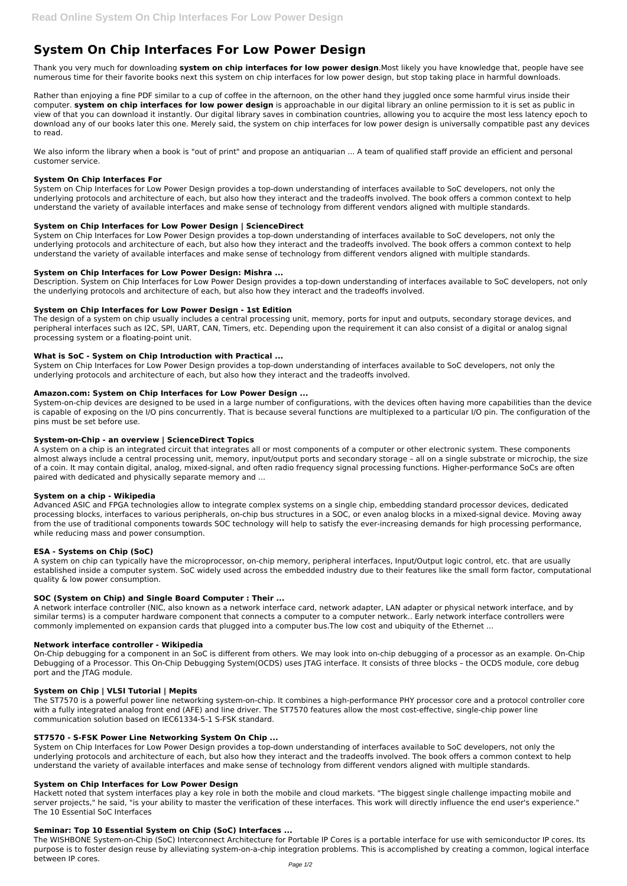# **System On Chip Interfaces For Low Power Design**

Thank you very much for downloading **system on chip interfaces for low power design**.Most likely you have knowledge that, people have see numerous time for their favorite books next this system on chip interfaces for low power design, but stop taking place in harmful downloads.

We also inform the library when a book is "out of print" and propose an antiquarian ... A team of qualified staff provide an efficient and personal customer service.

Rather than enjoying a fine PDF similar to a cup of coffee in the afternoon, on the other hand they juggled once some harmful virus inside their computer. **system on chip interfaces for low power design** is approachable in our digital library an online permission to it is set as public in view of that you can download it instantly. Our digital library saves in combination countries, allowing you to acquire the most less latency epoch to download any of our books later this one. Merely said, the system on chip interfaces for low power design is universally compatible past any devices to read.

## **System On Chip Interfaces For**

System on Chip Interfaces for Low Power Design provides a top-down understanding of interfaces available to SoC developers, not only the underlying protocols and architecture of each, but also how they interact and the tradeoffs involved. The book offers a common context to help understand the variety of available interfaces and make sense of technology from different vendors aligned with multiple standards.

## **System on Chip Interfaces for Low Power Design | ScienceDirect**

System on Chip Interfaces for Low Power Design provides a top-down understanding of interfaces available to SoC developers, not only the underlying protocols and architecture of each, but also how they interact and the tradeoffs involved. The book offers a common context to help understand the variety of available interfaces and make sense of technology from different vendors aligned with multiple standards.

## **System on Chip Interfaces for Low Power Design: Mishra ...**

Description. System on Chip Interfaces for Low Power Design provides a top-down understanding of interfaces available to SoC developers, not only the underlying protocols and architecture of each, but also how they interact and the tradeoffs involved.

## **System on Chip Interfaces for Low Power Design - 1st Edition**

The design of a system on chip usually includes a central processing unit, memory, ports for input and outputs, secondary storage devices, and peripheral interfaces such as I2C, SPI, UART, CAN, Timers, etc. Depending upon the requirement it can also consist of a digital or analog signal processing system or a floating-point unit.

## **What is SoC - System on Chip Introduction with Practical ...**

System on Chip Interfaces for Low Power Design provides a top-down understanding of interfaces available to SoC developers, not only the underlying protocols and architecture of each, but also how they interact and the tradeoffs involved.

## **Amazon.com: System on Chip Interfaces for Low Power Design ...**

System-on-chip devices are designed to be used in a large number of configurations, with the devices often having more capabilities than the device is capable of exposing on the I/O pins concurrently. That is because several functions are multiplexed to a particular I/O pin. The configuration of the pins must be set before use.

## **System-on-Chip - an overview | ScienceDirect Topics**

A system on a chip is an integrated circuit that integrates all or most components of a computer or other electronic system. These components almost always include a central processing unit, memory, input/output ports and secondary storage – all on a single substrate or microchip, the size of a coin. It may contain digital, analog, mixed-signal, and often radio frequency signal processing functions. Higher-performance SoCs are often paired with dedicated and physically separate memory and ...

#### **System on a chip - Wikipedia**

Advanced ASIC and FPGA technologies allow to integrate complex systems on a single chip, embedding standard processor devices, dedicated processing blocks, interfaces to various peripherals, on-chip bus structures in a SOC, or even analog blocks in a mixed-signal device. Moving away from the use of traditional components towards SOC technology will help to satisfy the ever-increasing demands for high processing performance, while reducing mass and power consumption.

## **ESA - Systems on Chip (SoC)**

A system on chip can typically have the microprocessor, on-chip memory, peripheral interfaces, Input/Output logic control, etc. that are usually established inside a computer system. SoC widely used across the embedded industry due to their features like the small form factor, computational quality & low power consumption.

## **SOC (System on Chip) and Single Board Computer : Their ...**

A network interface controller (NIC, also known as a network interface card, network adapter, LAN adapter or physical network interface, and by similar terms) is a computer hardware component that connects a computer to a computer network.. Early network interface controllers were commonly implemented on expansion cards that plugged into a computer bus.The low cost and ubiquity of the Ethernet ...

## **Network interface controller - Wikipedia**

On-Chip debugging for a component in an SoC is different from others. We may look into on-chip debugging of a processor as an example. On-Chip Debugging of a Processor. This On-Chip Debugging System(OCDS) uses JTAG interface. It consists of three blocks – the OCDS module, core debug

port and the JTAG module.

#### **System on Chip | VLSI Tutorial | Mepits**

The ST7570 is a powerful power line networking system-on-chip. It combines a high-performance PHY processor core and a protocol controller core with a fully integrated analog front end (AFE) and line driver. The ST7570 features allow the most cost-effective, single-chip power line communication solution based on IEC61334-5-1 S-FSK standard.

## **ST7570 - S-FSK Power Line Networking System On Chip ...**

System on Chip Interfaces for Low Power Design provides a top-down understanding of interfaces available to SoC developers, not only the underlying protocols and architecture of each, but also how they interact and the tradeoffs involved. The book offers a common context to help understand the variety of available interfaces and make sense of technology from different vendors aligned with multiple standards.

#### **System on Chip Interfaces for Low Power Design**

Hackett noted that system interfaces play a key role in both the mobile and cloud markets. "The biggest single challenge impacting mobile and server projects," he said, "is your ability to master the verification of these interfaces. This work will directly influence the end user's experience." The 10 Essential SoC Interfaces

#### **Seminar: Top 10 Essential System on Chip (SoC) Interfaces ...**

The WISHBONE System-on-Chip (SoC) Interconnect Architecture for Portable IP Cores is a portable interface for use with semiconductor IP cores. Its purpose is to foster design reuse by alleviating system-on-a-chip integration problems. This is accomplished by creating a common, logical interface between IP cores.